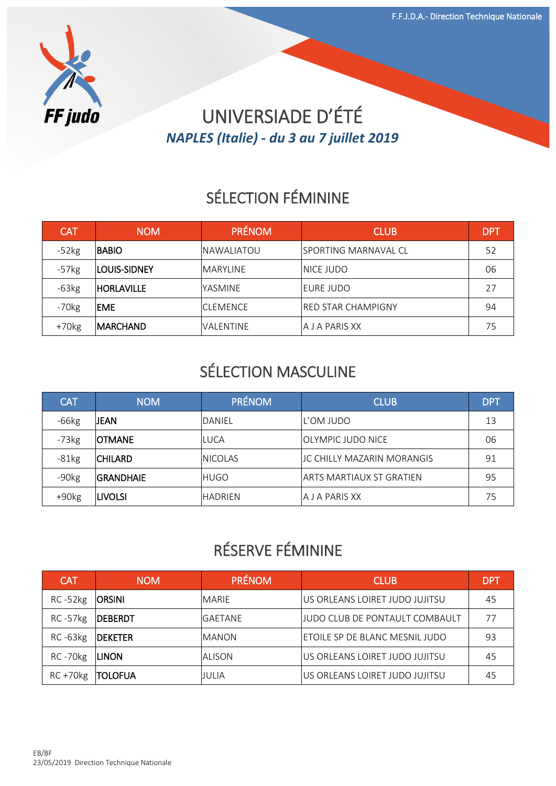

## UNIVERSIADE D'ÉTÉ *NAPLES (Italie) - du 3 au 7 juillet 2019*

# SÉLECTION FÉMININE

| <b>CAT</b> | <b>NOM</b>        | <b>PRÉNOM</b>     | <b>CLUB</b>           | DP1 |
|------------|-------------------|-------------------|-----------------------|-----|
| $-52kg$    | <b>BABIO</b>      | <b>NAWALIATOU</b> | ISPORTING MARNAVAL CL | 52  |
| $-57kg$    | LOUIS-SIDNEY      | <b>MARYLINE</b>   | <b>NICE JUDO</b>      | 06  |
| $-63kg$    | <b>HORLAVILLE</b> | YASMINE           | <b>EURE JUDO</b>      | 27  |
| $-70kg$    | EME               | <b>CLEMENCE</b>   | IRED STAR CHAMPIGNY   | 94  |
| $+70kg$    | <b>IMARCHAND</b>  | VALENTINE         | <b>A J A PARIS XX</b> | 75  |

#### SÉLECTION MASCULINE

| <b>CAT</b>          | <b>NOM</b>       | <b>PRÉNOM</b>   | <b>CLUB</b>                     | <b>DPT</b> |
|---------------------|------------------|-----------------|---------------------------------|------------|
| $-66kg$             | JEAN             | DANIEL          | L'OM JUDO                       | 13         |
| $-73kg$             | <b>OTMANE</b>    | LUCA            | IOLYMPIC JUDO NICE              | 06         |
| $-81kg$             | <b>CHILARD</b>   | <b>INICOLAS</b> | JC CHILLY MAZARIN MORANGIS      | 91         |
| $-90kg$             | <b>GRANDHAIE</b> | <b>HUGO</b>     | <b>ARTS MARTIAUX ST GRATIEN</b> | 95         |
| $+90$ <sub>kg</sub> | <b>LIVOLSI</b>   | <b>HADRIEN</b>  | A J A PARIS XX                  | 75         |

#### RÉSERVE FÉMININE

| <b>CAT</b>     | <b>NOM</b>      | <b>PRÉNOM</b>  | <b>CLUB</b>                     | DP1 |
|----------------|-----------------|----------------|---------------------------------|-----|
| $RC - 52kg$    | <b>ORSINI</b>   | <b>MARIE</b>   | US ORLEANS LOIRET JUDO JUJITSU  | 45  |
| <b>RC-57kg</b> | <b>IDEBERDT</b> | <b>GAETANE</b> | IJUDO CLUB DE PONTAULT COMBAULT |     |
| $RC - 63kg$    | <b>DEKETER</b>  | <b>MANON</b>   | ETOILE SP DE BLANC MESNIL JUDO  | 93  |
| RC-70kg        | <b>LINON</b>    | ALISON         | US ORLEANS LOIRET JUDO JUJITSU  | 45  |
| $RC + 70kg$    | <b> TOLOFUA</b> | JULIA          | US ORLEANS LOIRET JUDO JUJITSU  | 45  |